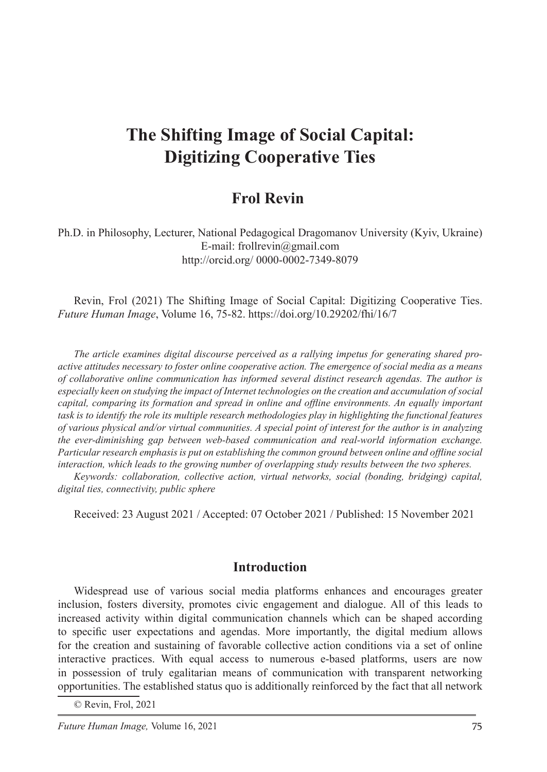# **The Shifting Image of Social Capital: Digitizing Cooperative Ties**

# **Frol Revin**

Ph.D. in Philosophy, Lecturer, National Pedagogical Dragomanov University (Kyiv, Ukraine) E-mail: frollrevin@gmail.com http://orcid.org/ 0000-0002-7349-8079

Revin, Frol (2021) The Shifting Image of Social Capital: Digitizing Cooperative Ties. *Future Human Image*, Volume 16, 75-82. https://doi.org/10.29202/fhi/16/7

*The article examines digital discourse perceived as a rallying impetus for generating shared proactive attitudes necessary to foster online cooperative action. The emergence of social media as a means of collaborative online communication has informed several distinct research agendas. The author is especially keen on studying the impact of Internet technologies on the creation and accumulation of social capital, comparing its formation and spread in online and offline environments. An equally important task is to identify the role its multiple research methodologies play in highlighting the functional features of various physical and/or virtual communities. A special point of interest for the author is in analyzing the ever-diminishing gap between web-based communication and real-world information exchange. Particular research emphasis is put on establishing the common ground between online and offline social interaction, which leads to the growing number of overlapping study results between the two spheres.*

*Keywords: collaboration, collective action, virtual networks, social (bonding, bridging) capital, digital ties, connectivity, public sphere* 

Received: 23 August 2021 / Accepted: 07 October 2021 / Published: 15 November 2021

#### **Introduction**

Widespread use of various social media platforms enhances and encourages greater inclusion, fosters diversity, promotes civic engagement and dialogue. All of this leads to increased activity within digital communication channels which can be shaped according to specific user expectations and agendas. More importantly, the digital medium allows for the creation and sustaining of favorable collective action conditions via a set of online interactive practices. With equal access to numerous e-based platforms, users are now in possession of truly egalitarian means of communication with transparent networking opportunities. The established status quo is additionally reinforced by the fact that all network

© Revin, Frol, 2021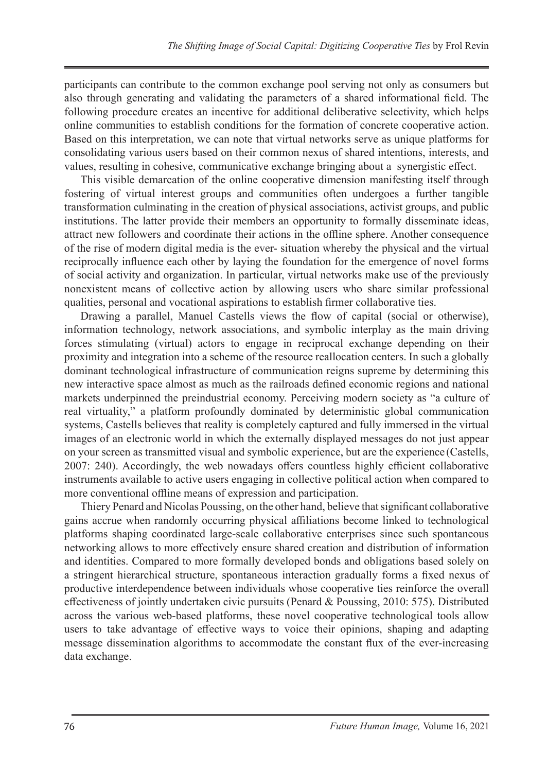participants can contribute to the common exchange pool serving not only as consumers but also through generating and validating the parameters of a shared informational field. The following procedure creates an incentive for additional deliberative selectivity, which helps online communities to establish conditions for the formation of concrete cooperative action. Based on this interpretation, we can note that virtual networks serve as unique platforms for consolidating various users based on their common nexus of shared intentions, interests, and values, resulting in cohesive, communicative exchange bringing about a synergistic effect.

This visible demarcation of the online cooperative dimension manifesting itself through fostering of virtual interest groups and communities often undergoes a further tangible transformation culminating in the creation of physical associations, activist groups, and public institutions. The latter provide their members an opportunity to formally disseminate ideas, attract new followers and coordinate their actions in the offline sphere. Another consequence of the rise of modern digital media is the ever- situation whereby the physical and the virtual reciprocally influence each other by laying the foundation for the emergence of novel forms of social activity and organization. In particular, virtual networks make use of the previously nonexistent means of collective action by allowing users who share similar professional qualities, personal and vocational aspirations to establish firmer collaborative ties.

Drawing a parallel, Manuel Castells views the flow of capital (social or otherwise), information technology, network associations, and symbolic interplay as the main driving forces stimulating (virtual) actors to engage in reciprocal exchange depending on their proximity and integration into a scheme of the resource reallocation centers. In such a globally dominant technological infrastructure of communication reigns supreme by determining this new interactive space almost as much as the railroads defined economic regions and national markets underpinned the preindustrial economy. Perceiving modern society as "a culture of real virtuality," a platform profoundly dominated by deterministic global communication systems, Castells believes that reality is completely captured and fully immersed in the virtual images of an electronic world in which the externally displayed messages do not just appear on your screen as transmitted visual and symbolic experience, but are the experience (Castells, 2007: 240). Accordingly, the web nowadays offers countless highly efficient collaborative instruments available to active users engaging in collective political action when compared to more conventional offline means of expression and participation.

Thiery Penard and Nicolas Poussing, on the other hand, believe that significant collaborative gains accrue when randomly occurring physical affiliations become linked to technological platforms shaping coordinated large-scale collaborative enterprises since such spontaneous networking allows to more effectively ensure shared creation and distribution of information and identities. Compared to more formally developed bonds and obligations based solely on a stringent hierarchical structure, spontaneous interaction gradually forms a fixed nexus of productive interdependence between individuals whose cooperative ties reinforce the overall effectiveness of jointly undertaken civic pursuits (Penard & Poussing, 2010: 575). Distributed across the various web-based platforms, these novel cooperative technological tools allow users to take advantage of effective ways to voice their opinions, shaping and adapting message dissemination algorithms to accommodate the constant flux of the ever-increasing data exchange.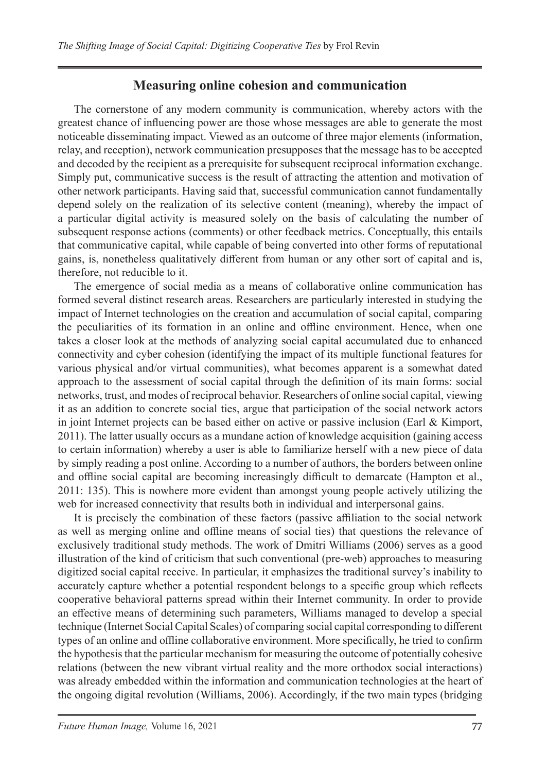#### **Measuring online cohesion and communication**

The cornerstone of any modern community is communication, whereby actors with the greatest chance of influencing power are those whose messages are able to generate the most noticeable disseminating impact. Viewed as an outcome of three major elements (information, relay, and reception), network communication presupposes that the message has to be accepted and decoded by the recipient as a prerequisite for subsequent reciprocal information exchange. Simply put, communicative success is the result of attracting the attention and motivation of other network participants. Having said that, successful communication cannot fundamentally depend solely on the realization of its selective content (meaning), whereby the impact of a particular digital activity is measured solely on the basis of calculating the number of subsequent response actions (comments) or other feedback metrics. Conceptually, this entails that communicative capital, while capable of being converted into other forms of reputational gains, is, nonetheless qualitatively different from human or any other sort of capital and is, therefore, not reducible to it.

The emergence of social media as a means of collaborative online communication has formed several distinct research areas. Researchers are particularly interested in studying the impact of Internet technologies on the creation and accumulation of social capital, comparing the peculiarities of its formation in an online and offline environment. Hence, when one takes a closer look at the methods of analyzing social capital accumulated due to enhanced connectivity and cyber cohesion (identifying the impact of its multiple functional features for various physical and/or virtual communities), what becomes apparent is a somewhat dated approach to the assessment of social capital through the definition of its main forms: social networks, trust, and modes of reciprocal behavior. Researchers of online social capital, viewing it as an addition to concrete social ties, argue that participation of the social network actors in joint Internet projects can be based either on active or passive inclusion (Earl  $\&$  Kimport, 2011). The latter usually occurs as a mundane action of knowledge acquisition (gaining access to certain information) whereby a user is able to familiarize herself with a new piece of data by simply reading a post online. According to a number of authors, the borders between online and offline social capital are becoming increasingly difficult to demarcate (Hampton et al., 2011: 135). This is nowhere more evident than amongst young people actively utilizing the web for increased connectivity that results both in individual and interpersonal gains.

It is precisely the combination of these factors (passive affiliation to the social network as well as merging online and offline means of social ties) that questions the relevance of exclusively traditional study methods. The work of Dmitri Williams (2006) serves as a good illustration of the kind of criticism that such conventional (pre-web) approaches to measuring digitized social capital receive. In particular, it emphasizes the traditional survey's inability to accurately capture whether a potential respondent belongs to a specific group which reflects cooperative behavioral patterns spread within their Internet community. In order to provide an effective means of determining such parameters, Williams managed to develop a special technique (Internet Social Capital Scales) of comparing social capital corresponding to different types of an online and offline collaborative environment. More specifically, he tried to confirm the hypothesis that the particular mechanism for measuring the outcome of potentially cohesive relations (between the new vibrant virtual reality and the more orthodox social interactions) was already embedded within the information and communication technologies at the heart of the ongoing digital revolution (Williams, 2006). Accordingly, if the two main types (bridging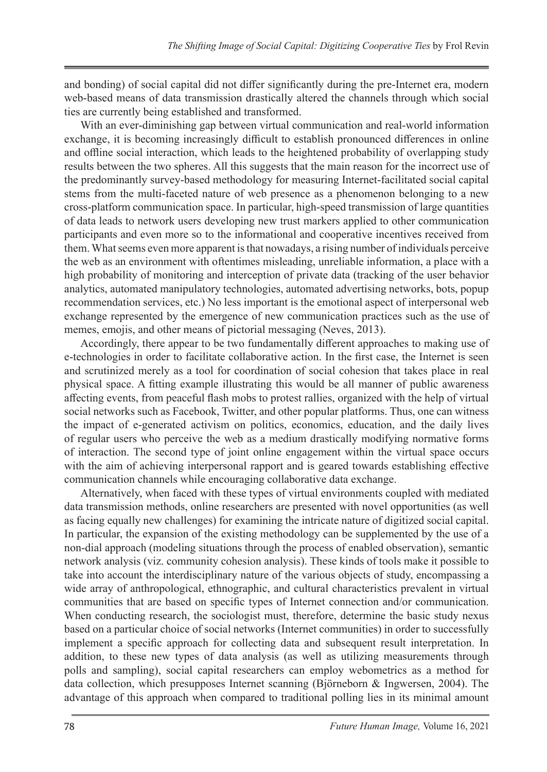and bonding) of social capital did not differ significantly during the pre-Internet era, modern web-based means of data transmission drastically altered the channels through which social ties are currently being established and transformed.

With an ever-diminishing gap between virtual communication and real-world information exchange, it is becoming increasingly difficult to establish pronounced differences in online and offline social interaction, which leads to the heightened probability of overlapping study results between the two spheres. All this suggests that the main reason for the incorrect use of the predominantly survey-based methodology for measuring Internet-facilitated social capital stems from the multi-faceted nature of web presence as a phenomenon belonging to a new cross-platform communication space. In particular, high-speed transmission of large quantities of data leads to network users developing new trust markers applied to other communication participants and even more so to the informational and cooperative incentives received from them. What seems even more apparent is that nowadays, a rising number of individuals perceive the web as an environment with oftentimes misleading, unreliable information, a place with a high probability of monitoring and interception of private data (tracking of the user behavior analytics, automated manipulatory technologies, automated advertising networks, bots, popup recommendation services, etc.) No less important is the emotional aspect of interpersonal web exchange represented by the emergence of new communication practices such as the use of memes, emojis, and other means of pictorial messaging (Neves, 2013).

Accordingly, there appear to be two fundamentally different approaches to making use of e-technologies in order to facilitate collaborative action. In the first case, the Internet is seen and scrutinized merely as a tool for coordination of social cohesion that takes place in real physical space. A fitting example illustrating this would be all manner of public awareness affecting events, from peaceful flash mobs to protest rallies, organized with the help of virtual social networks such as Facebook, Twitter, and other popular platforms. Thus, one can witness the impact of e-generated activism on politics, economics, education, and the daily lives of regular users who perceive the web as a medium drastically modifying normative forms of interaction. The second type of joint online engagement within the virtual space occurs with the aim of achieving interpersonal rapport and is geared towards establishing effective communication channels while encouraging collaborative data exchange.

Alternatively, when faced with these types of virtual environments coupled with mediated data transmission methods, online researchers are presented with novel opportunities (as well as facing equally new challenges) for examining the intricate nature of digitized social capital. In particular, the expansion of the existing methodology can be supplemented by the use of a non-dial approach (modeling situations through the process of enabled observation), semantic network analysis (viz. community cohesion analysis). These kinds of tools make it possible to take into account the interdisciplinary nature of the various objects of study, encompassing a wide array of anthropological, ethnographic, and cultural characteristics prevalent in virtual communities that are based on specific types of Internet connection and/or communication. When conducting research, the sociologist must, therefore, determine the basic study nexus based on a particular choice of social networks (Internet communities) in order to successfully implement a specific approach for collecting data and subsequent result interpretation. In addition, to these new types of data analysis (as well as utilizing measurements through polls and sampling), social capital researchers can employ webometrics as a method for data collection, which presupposes Internet scanning (Björneborn & Ingwersen, 2004). The advantage of this approach when compared to traditional polling lies in its minimal amount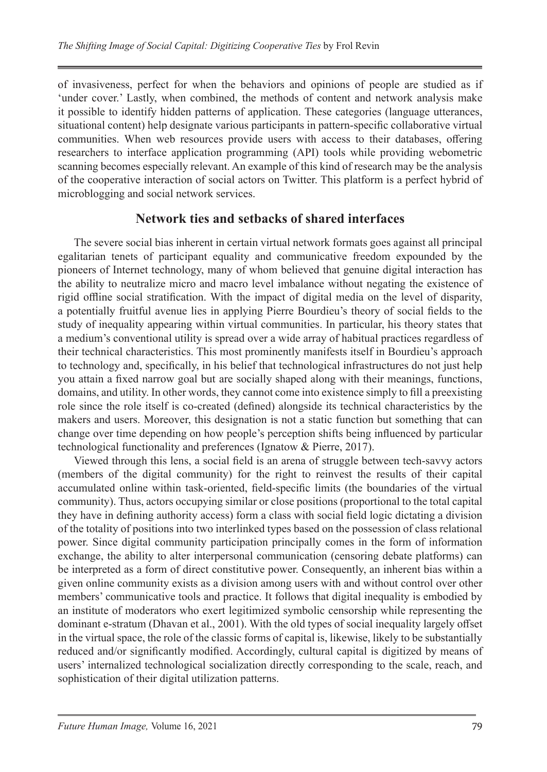of invasiveness, perfect for when the behaviors and opinions of people are studied as if 'under cover.' Lastly, when combined, the methods of content and network analysis make it possible to identify hidden patterns of application. These categories (language utterances, situational content) help designate various participants in pattern-specific collaborative virtual communities. When web resources provide users with access to their databases, offering researchers to interface application programming (API) tools while providing webometric scanning becomes especially relevant. An example of this kind of research may be the analysis of the cooperative interaction of social actors on Twitter. This platform is a perfect hybrid of microblogging and social network services.

#### **Network ties and setbacks of shared interfaces**

The severe social bias inherent in certain virtual network formats goes against all principal egalitarian tenets of participant equality and communicative freedom expounded by the pioneers of Internet technology, many of whom believed that genuine digital interaction has the ability to neutralize micro and macro level imbalance without negating the existence of rigid offline social stratification. With the impact of digital media on the level of disparity, a potentially fruitful avenue lies in applying Pierre Bourdieu's theory of social fields to the study of inequality appearing within virtual communities. In particular, his theory states that a medium's conventional utility is spread over a wide array of habitual practices regardless of their technical characteristics. This most prominently manifests itself in Bourdieu's approach to technology and, specifically, in his belief that technological infrastructures do not just help you attain a fixed narrow goal but are socially shaped along with their meanings, functions, domains, and utility. In other words, they cannot come into existence simply to fill a preexisting role since the role itself is co-created (defined) alongside its technical characteristics by the makers and users. Moreover, this designation is not a static function but something that can change over time depending on how people's perception shifts being influenced by particular technological functionality and preferences (Ignatow & Pierre, 2017).

Viewed through this lens, a social field is an arena of struggle between tech-savvy actors (members of the digital community) for the right to reinvest the results of their capital accumulated online within task-oriented, field-specific limits (the boundaries of the virtual community). Thus, actors occupying similar or close positions (proportional to the total capital they have in defining authority access) form a class with social field logic dictating a division of the totality of positions into two interlinked types based on the possession of class relational power. Since digital community participation principally comes in the form of information exchange, the ability to alter interpersonal communication (censoring debate platforms) can be interpreted as a form of direct constitutive power. Consequently, an inherent bias within a given online community exists as a division among users with and without control over other members' communicative tools and practice. It follows that digital inequality is embodied by an institute of moderators who exert legitimized symbolic censorship while representing the dominant e-stratum (Dhavan et al., 2001). With the old types of social inequality largely offset in the virtual space, the role of the classic forms of capital is, likewise, likely to be substantially reduced and/or significantly modified. Accordingly, cultural capital is digitized by means of users' internalized technological socialization directly corresponding to the scale, reach, and sophistication of their digital utilization patterns.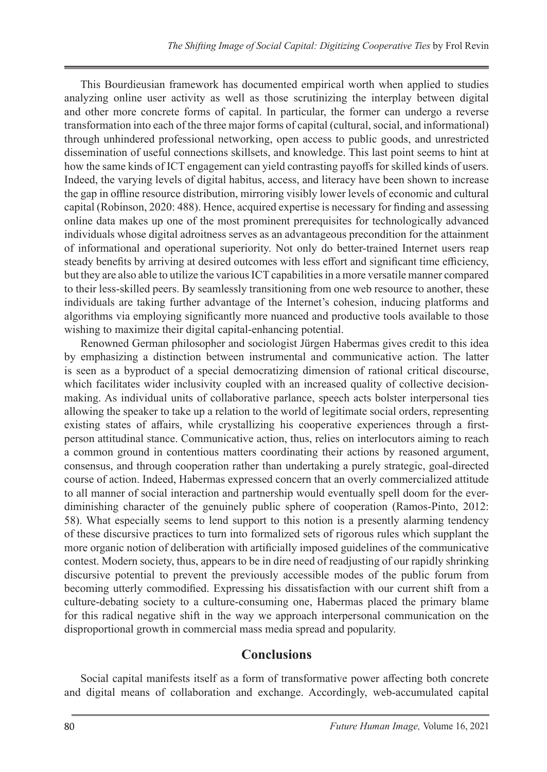This Bourdieusian framework has documented empirical worth when applied to studies analyzing online user activity as well as those scrutinizing the interplay between digital and other more concrete forms of capital. In particular, the former can undergo a reverse transformation into each of the three major forms of capital (cultural, social, and informational) through unhindered professional networking, open access to public goods, and unrestricted dissemination of useful connections skillsets, and knowledge. This last point seems to hint at how the same kinds of ICT engagement can yield contrasting payoffs for skilled kinds of users. Indeed, the varying levels of digital habitus, access, and literacy have been shown to increase the gap in offline resource distribution, mirroring visibly lower levels of economic and cultural capital (Robinson, 2020: 488). Hence, acquired expertise is necessary for finding and assessing online data makes up one of the most prominent prerequisites for technologically advanced individuals whose digital adroitness serves as an advantageous precondition for the attainment of informational and operational superiority. Not only do better-trained Internet users reap steady benefits by arriving at desired outcomes with less effort and significant time efficiency, but they are also able to utilize the various ICT capabilities in a more versatile manner compared to their less-skilled peers. By seamlessly transitioning from one web resource to another, these individuals are taking further advantage of the Internet's cohesion, inducing platforms and algorithms via employing significantly more nuanced and productive tools available to those wishing to maximize their digital capital-enhancing potential.

Renowned German philosopher and sociologist Jürgen Habermas gives credit to this idea by emphasizing a distinction between instrumental and communicative action. The latter is seen as a byproduct of a special democratizing dimension of rational critical discourse, which facilitates wider inclusivity coupled with an increased quality of collective decisionmaking. As individual units of collaborative parlance, speech acts bolster interpersonal ties allowing the speaker to take up a relation to the world of legitimate social orders, representing existing states of affairs, while crystallizing his cooperative experiences through a firstperson attitudinal stance. Communicative action, thus, relies on interlocutors aiming to reach a common ground in contentious matters coordinating their actions by reasoned argument, consensus, and through cooperation rather than undertaking a purely strategic, goal-directed course of action. Indeed, Habermas expressed concern that an overly commercialized attitude to all manner of social interaction and partnership would eventually spell doom for the everdiminishing character of the genuinely public sphere of cooperation (Ramos-Pinto, 2012: 58). What especially seems to lend support to this notion is a presently alarming tendency of these discursive practices to turn into formalized sets of rigorous rules which supplant the more organic notion of deliberation with artificially imposed guidelines of the communicative contest. Modern society, thus, appears to be in dire need of readjusting of our rapidly shrinking discursive potential to prevent the previously accessible modes of the public forum from becoming utterly commodified. Expressing his dissatisfaction with our current shift from a culture-debating society to a culture-consuming one, Habermas placed the primary blame for this radical negative shift in the way we approach interpersonal communication on the disproportional growth in commercial mass media spread and popularity.

### **Conclusions**

Social capital manifests itself as a form of transformative power affecting both concrete and digital means of collaboration and exchange. Accordingly, web-accumulated capital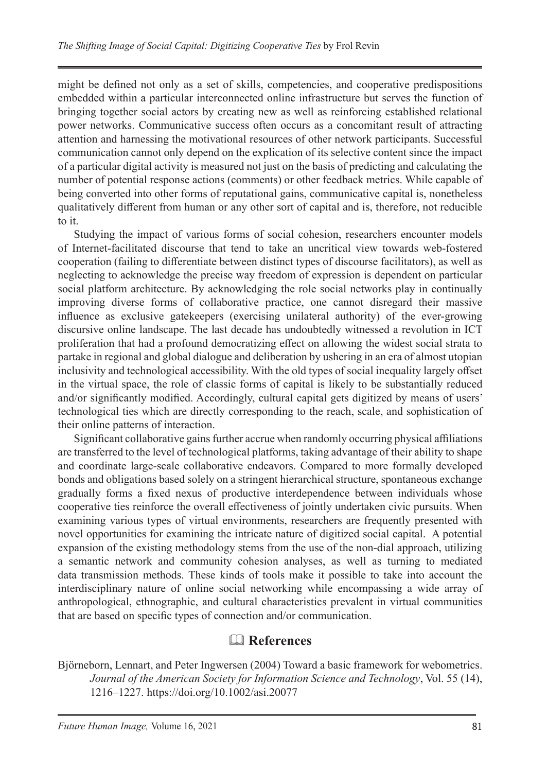might be defined not only as a set of skills, competencies, and cooperative predispositions embedded within a particular interconnected online infrastructure but serves the function of bringing together social actors by creating new as well as reinforcing established relational power networks. Communicative success often occurs as a concomitant result of attracting attention and harnessing the motivational resources of other network participants. Successful communication cannot only depend on the explication of its selective content since the impact of a particular digital activity is measured not just on the basis of predicting and calculating the number of potential response actions (comments) or other feedback metrics. While capable of being converted into other forms of reputational gains, communicative capital is, nonetheless qualitatively different from human or any other sort of capital and is, therefore, not reducible to it.

Studying the impact of various forms of social cohesion, researchers encounter models of Internet-facilitated discourse that tend to take an uncritical view towards web-fostered cooperation (failing to differentiate between distinct types of discourse facilitators), as well as neglecting to acknowledge the precise way freedom of expression is dependent on particular social platform architecture. By acknowledging the role social networks play in continually improving diverse forms of collaborative practice, one cannot disregard their massive influence as exclusive gatekeepers (exercising unilateral authority) of the ever-growing discursive online landscape. The last decade has undoubtedly witnessed a revolution in ICT proliferation that had a profound democratizing effect on allowing the widest social strata to partake in regional and global dialogue and deliberation by ushering in an era of almost utopian inclusivity and technological accessibility. With the old types of social inequality largely offset in the virtual space, the role of classic forms of capital is likely to be substantially reduced and/or significantly modified. Accordingly, cultural capital gets digitized by means of users' technological ties which are directly corresponding to the reach, scale, and sophistication of their online patterns of interaction.

Significant collaborative gains further accrue when randomly occurring physical affiliations are transferred to the level of technological platforms, taking advantage of their ability to shape and coordinate large-scale collaborative endeavors. Compared to more formally developed bonds and obligations based solely on a stringent hierarchical structure, spontaneous exchange gradually forms a fixed nexus of productive interdependence between individuals whose cooperative ties reinforce the overall effectiveness of jointly undertaken civic pursuits. When examining various types of virtual environments, researchers are frequently presented with novel opportunities for examining the intricate nature of digitized social capital. A potential expansion of the existing methodology stems from the use of the non-dial approach, utilizing a semantic network and community cohesion analyses, as well as turning to mediated data transmission methods. These kinds of tools make it possible to take into account the interdisciplinary nature of online social networking while encompassing a wide array of anthropological, ethnographic, and cultural characteristics prevalent in virtual communities that are based on specific types of connection and/or communication.

# **References**

Björneborn, Lennart, and Peter Ingwersen (2004) Toward a basic framework for webometrics. *Journal of the American Society for Information Science and Technology*, Vol. 55 (14), 1216–1227. https://doi.org/10.1002/asi.20077